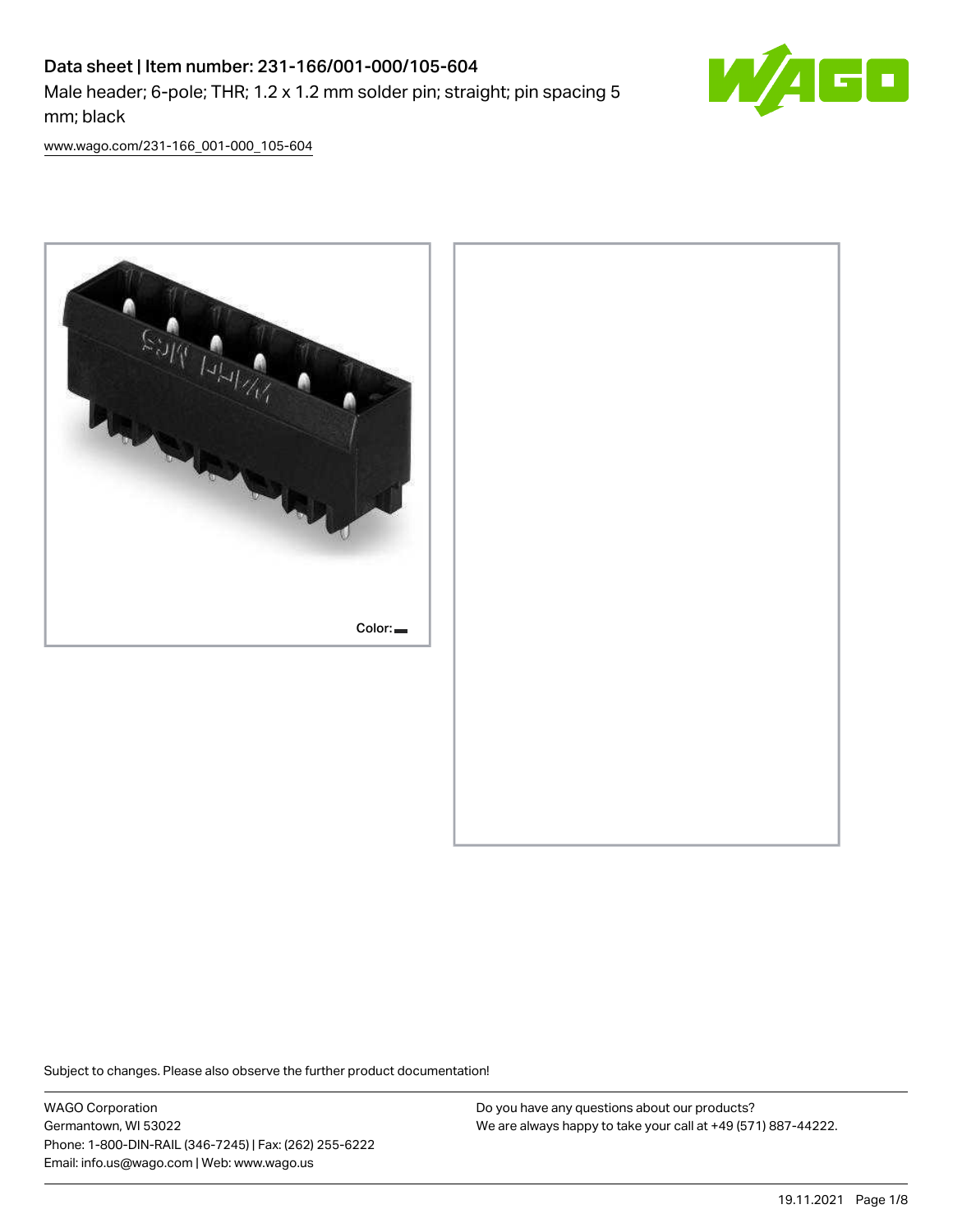# Data sheet | Item number: 231-166/001-000/105-604 Male header; 6-pole; THR; 1.2 x 1.2 mm solder pin; straight; pin spacing 5 mm; black



[www.wago.com/231-166\\_001-000\\_105-604](http://www.wago.com/231-166_001-000_105-604)



Subject to changes. Please also observe the further product documentation!

WAGO Corporation Germantown, WI 53022 Phone: 1-800-DIN-RAIL (346-7245) | Fax: (262) 255-6222 Email: info.us@wago.com | Web: www.wago.us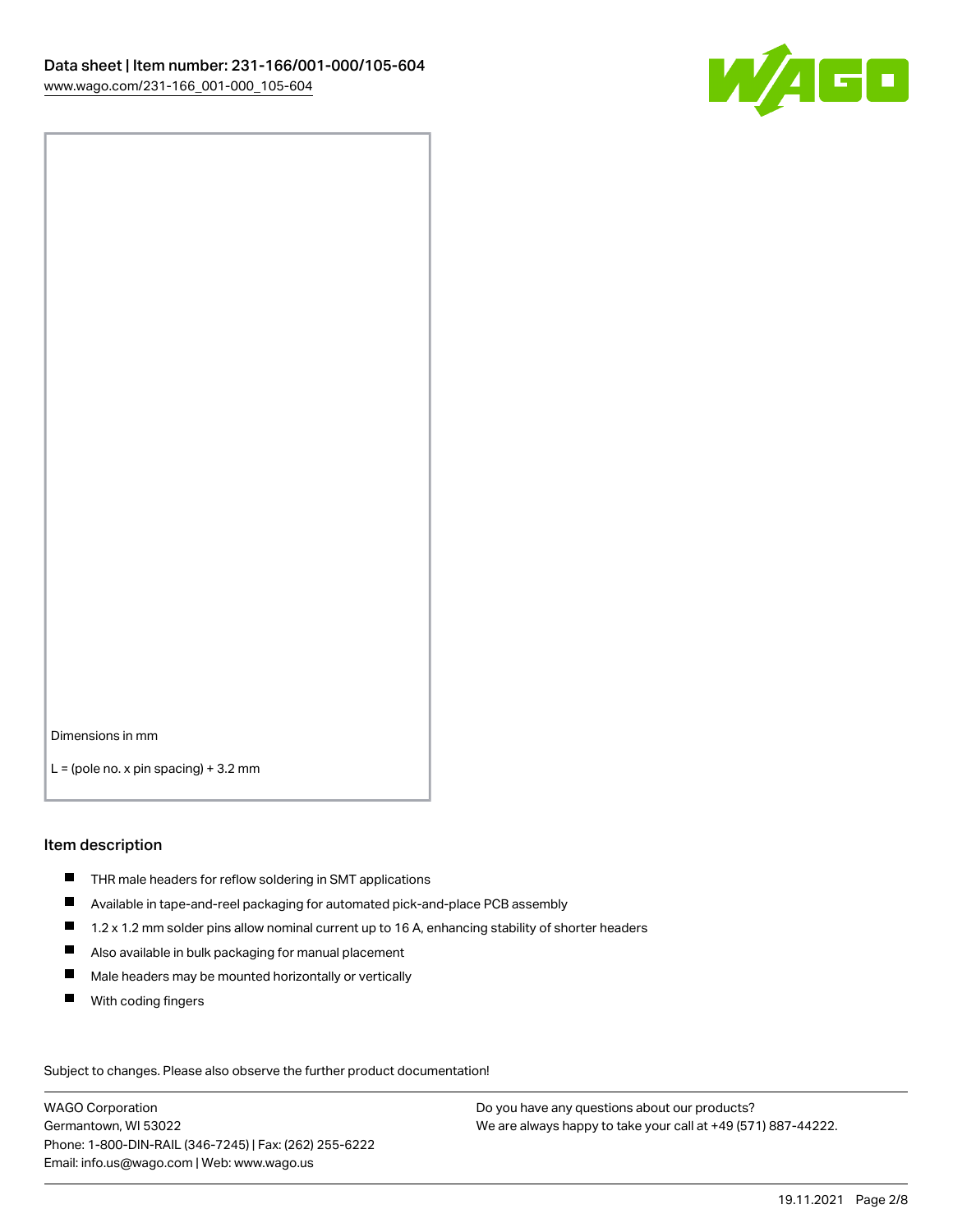

Dimensions in mm

 $L =$  (pole no. x pin spacing) + 3.2 mm

#### Item description

- THR male headers for reflow soldering in SMT applications
- Available in tape-and-reel packaging for automated pick-and-place PCB assembly
- $\blacksquare$ 1.2 x 1.2 mm solder pins allow nominal current up to 16 A, enhancing stability of shorter headers
- Also available in bulk packaging for manual placement
- $\blacksquare$ Male headers may be mounted horizontally or vertically
- $\blacksquare$ With coding fingers

Subject to changes. Please also observe the further product documentation! Data

WAGO Corporation Germantown, WI 53022 Phone: 1-800-DIN-RAIL (346-7245) | Fax: (262) 255-6222 Email: info.us@wago.com | Web: www.wago.us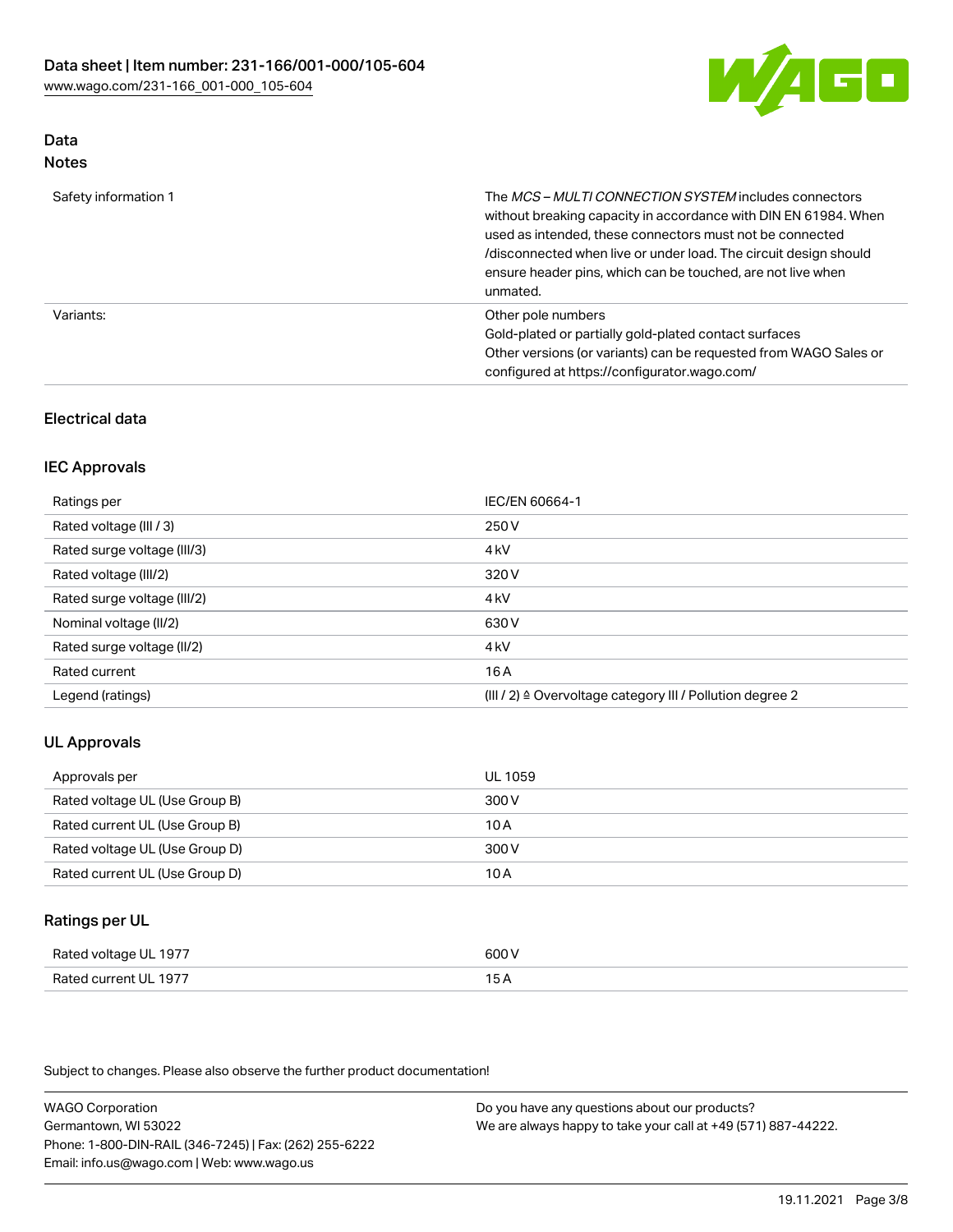

#### Data Notes

| Safety information 1 | The MCS-MULTI CONNECTION SYSTEM includes connectors<br>without breaking capacity in accordance with DIN EN 61984. When<br>used as intended, these connectors must not be connected<br>/disconnected when live or under load. The circuit design should<br>ensure header pins, which can be touched, are not live when<br>unmated. |
|----------------------|-----------------------------------------------------------------------------------------------------------------------------------------------------------------------------------------------------------------------------------------------------------------------------------------------------------------------------------|
| Variants:            | Other pole numbers<br>Gold-plated or partially gold-plated contact surfaces<br>Other versions (or variants) can be requested from WAGO Sales or<br>configured at https://configurator.wago.com/                                                                                                                                   |

## Electrical data

#### IEC Approvals

| Ratings per                 | IEC/EN 60664-1                                                        |
|-----------------------------|-----------------------------------------------------------------------|
| Rated voltage (III / 3)     | 250 V                                                                 |
| Rated surge voltage (III/3) | 4 <sub>k</sub> V                                                      |
| Rated voltage (III/2)       | 320 V                                                                 |
| Rated surge voltage (III/2) | 4 <sub>k</sub> V                                                      |
| Nominal voltage (II/2)      | 630 V                                                                 |
| Rated surge voltage (II/2)  | 4 <sub>k</sub> V                                                      |
| Rated current               | 16A                                                                   |
| Legend (ratings)            | $(III / 2)$ $\triangle$ Overvoltage category III / Pollution degree 2 |

#### UL Approvals

| Approvals per                  | UL 1059 |
|--------------------------------|---------|
| Rated voltage UL (Use Group B) | 300 V   |
| Rated current UL (Use Group B) | 10 A    |
| Rated voltage UL (Use Group D) | 300 V   |
| Rated current UL (Use Group D) | 10 A    |

## Ratings per UL

| Rated voltage UL 1977            | ור                                        |
|----------------------------------|-------------------------------------------|
| Lourrent III, 1977<br>Rated<br>. | $\sim$ $\sim$ $\sim$ $\sim$ $\sim$ $\sim$ |

Subject to changes. Please also observe the further product documentation!

WAGO Corporation Germantown, WI 53022 Phone: 1-800-DIN-RAIL (346-7245) | Fax: (262) 255-6222 Email: info.us@wago.com | Web: www.wago.us Do you have any questions about our products? We are always happy to take your call at +49 (571) 887-44222.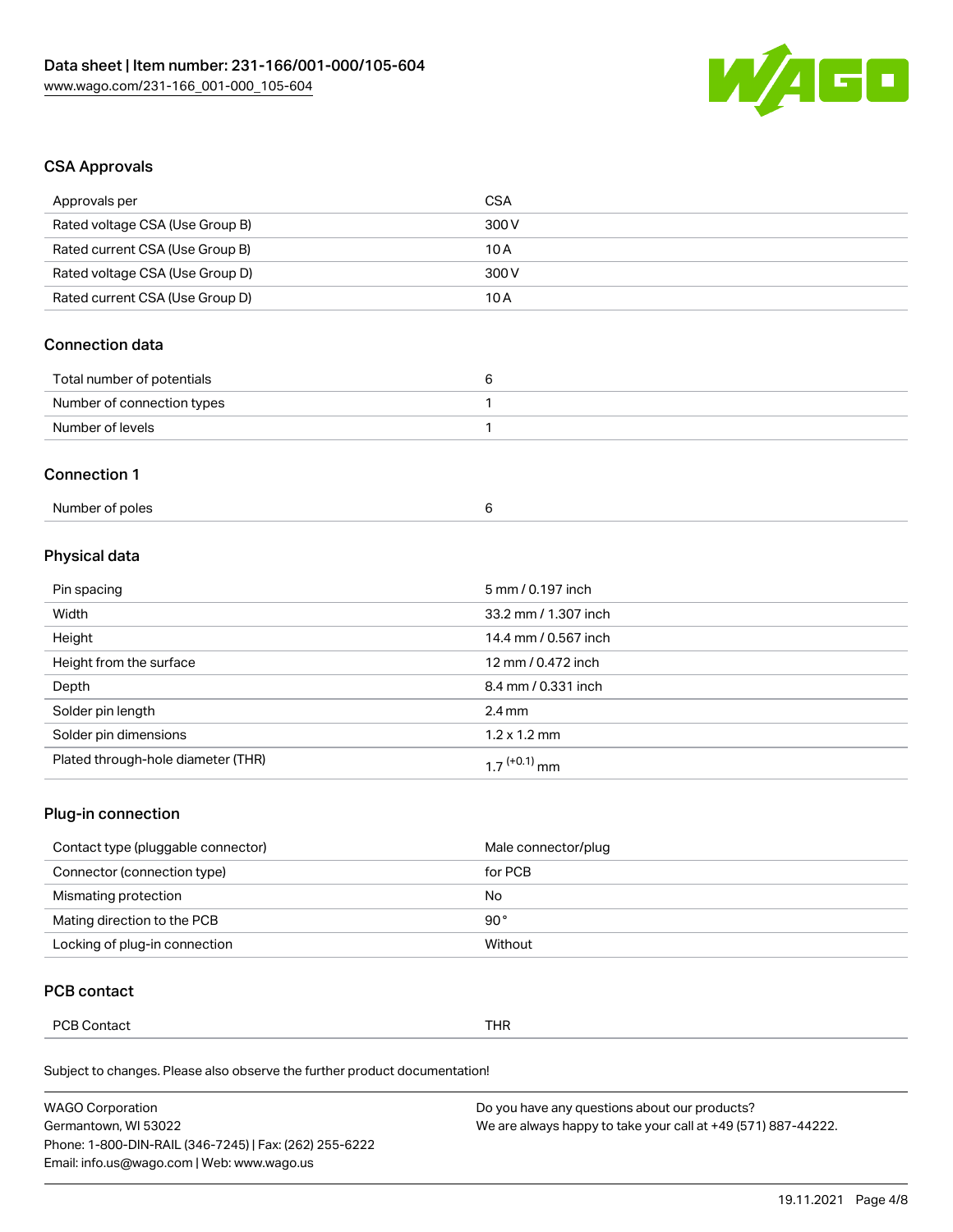

#### CSA Approvals

| Approvals per                   | CSA   |
|---------------------------------|-------|
| Rated voltage CSA (Use Group B) | 300 V |
| Rated current CSA (Use Group B) | 10A   |
| Rated voltage CSA (Use Group D) | 300 V |
| Rated current CSA (Use Group D) | 10 A  |
|                                 |       |

## Connection data

| Total number of potentials |  |
|----------------------------|--|
| Number of connection types |  |
| Number of levels           |  |

#### Connection 1

## Physical data

| Pin spacing                        | 5 mm / 0.197 inch        |
|------------------------------------|--------------------------|
| Width                              | 33.2 mm / 1.307 inch     |
| Height                             | 14.4 mm / 0.567 inch     |
| Height from the surface            | 12 mm / 0.472 inch       |
| Depth                              | 8.4 mm / 0.331 inch      |
| Solder pin length                  | $2.4 \text{ mm}$         |
| Solder pin dimensions              | $1.2 \times 1.2$ mm      |
| Plated through-hole diameter (THR) | 1.7 <sup>(+0.1)</sup> mm |

#### Plug-in connection

| Contact type (pluggable connector) | Male connector/plug |
|------------------------------------|---------------------|
| Connector (connection type)        | for PCB             |
| Mismating protection               | No                  |
| Mating direction to the PCB        | 90°                 |
| Locking of plug-in connection      | Without             |

## PCB contact

| <b>DOR O</b><br>Thr<br>ontact<br>ັ∪⊃ັ<br>ື<br>. |
|-------------------------------------------------|
|-------------------------------------------------|

Subject to changes. Please also observe the further product documentation!

| <b>WAGO Corporation</b>                                | Do you have any questions about our products?                 |
|--------------------------------------------------------|---------------------------------------------------------------|
| Germantown, WI 53022                                   | We are always happy to take your call at +49 (571) 887-44222. |
| Phone: 1-800-DIN-RAIL (346-7245)   Fax: (262) 255-6222 |                                                               |
| Email: info.us@wago.com   Web: www.wago.us             |                                                               |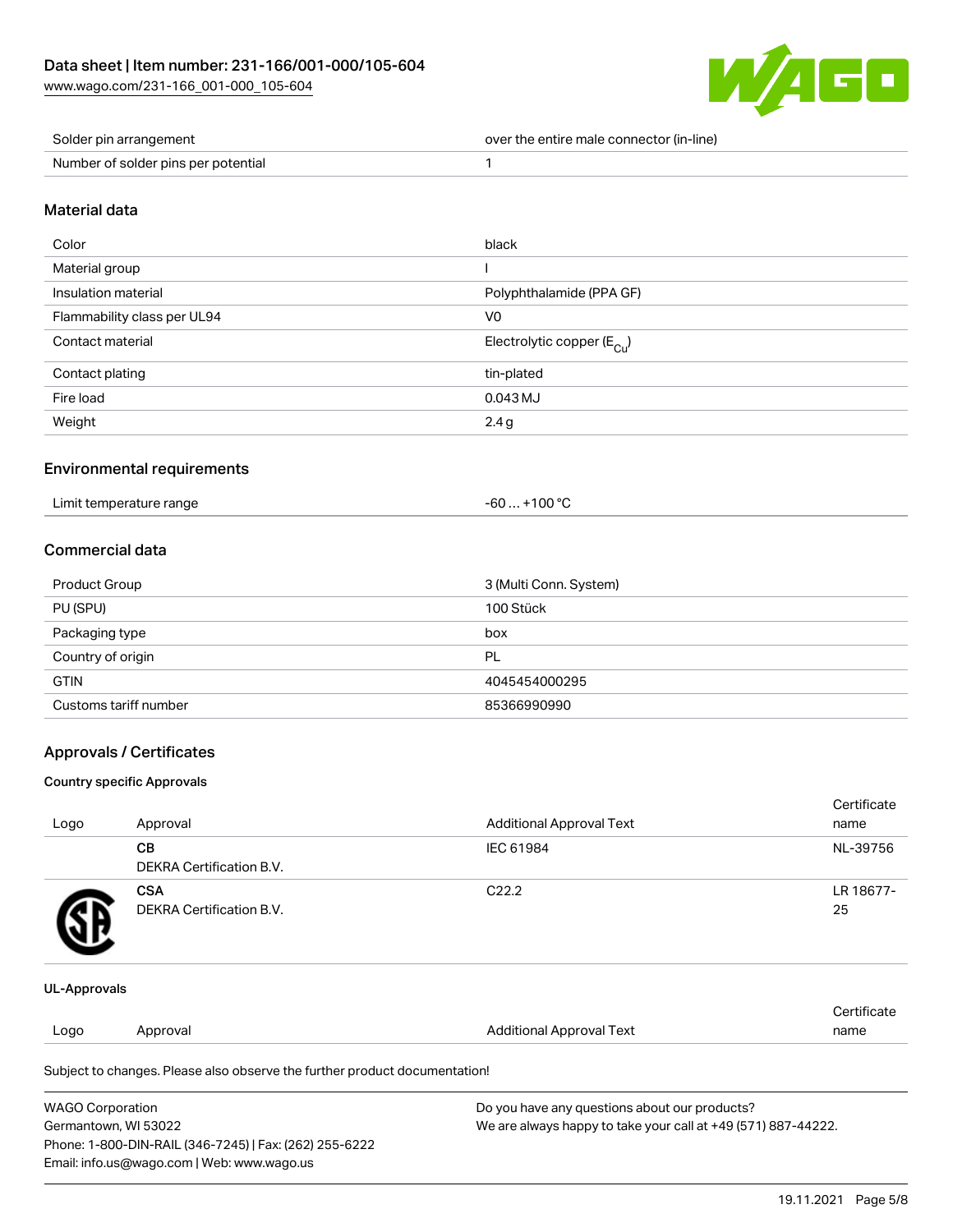

| Solder pin arrangement              | over the entire male connector (in-line) |
|-------------------------------------|------------------------------------------|
| Number of solder pins per potential |                                          |

#### Material data

| Color                       | black                                  |
|-----------------------------|----------------------------------------|
| Material group              |                                        |
| Insulation material         | Polyphthalamide (PPA GF)               |
| Flammability class per UL94 | V <sub>0</sub>                         |
| Contact material            | Electrolytic copper (E <sub>Cu</sub> ) |
| Contact plating             | tin-plated                             |
| Fire load                   | 0.043 MJ                               |
| Weight                      | 2.4g                                   |

#### Environmental requirements

| Limit temperature range | $. +100 °C$<br>-60 … |
|-------------------------|----------------------|
|-------------------------|----------------------|

## Commercial data

| Product Group         | 3 (Multi Conn. System) |
|-----------------------|------------------------|
| PU (SPU)              | 100 Stück              |
| Packaging type        | box                    |
| Country of origin     | PL                     |
| <b>GTIN</b>           | 4045454000295          |
| Customs tariff number | 85366990990            |

## Approvals / Certificates

#### Country specific Approvals

| Logo | Approval                               | <b>Additional Approval Text</b> | Certificate<br>name |
|------|----------------------------------------|---------------------------------|---------------------|
|      | CВ<br><b>DEKRA Certification B.V.</b>  | IEC 61984                       | NL-39756            |
|      | <b>CSA</b><br>DEKRA Certification B.V. | C <sub>22.2</sub>               | LR 18677-<br>25     |

#### UL-Approvals

|      |          |                          | Certificate |
|------|----------|--------------------------|-------------|
| Logo | Approval | Additional Approval Text | name        |
|      |          |                          |             |

Subject to changes. Please also observe the further product documentation!

| <b>WAGO Corporation</b>                                | Do you have any questions about our products?                 |
|--------------------------------------------------------|---------------------------------------------------------------|
| Germantown, WI 53022                                   | We are always happy to take your call at +49 (571) 887-44222. |
| Phone: 1-800-DIN-RAIL (346-7245)   Fax: (262) 255-6222 |                                                               |
| Email: info.us@wago.com   Web: www.wago.us             |                                                               |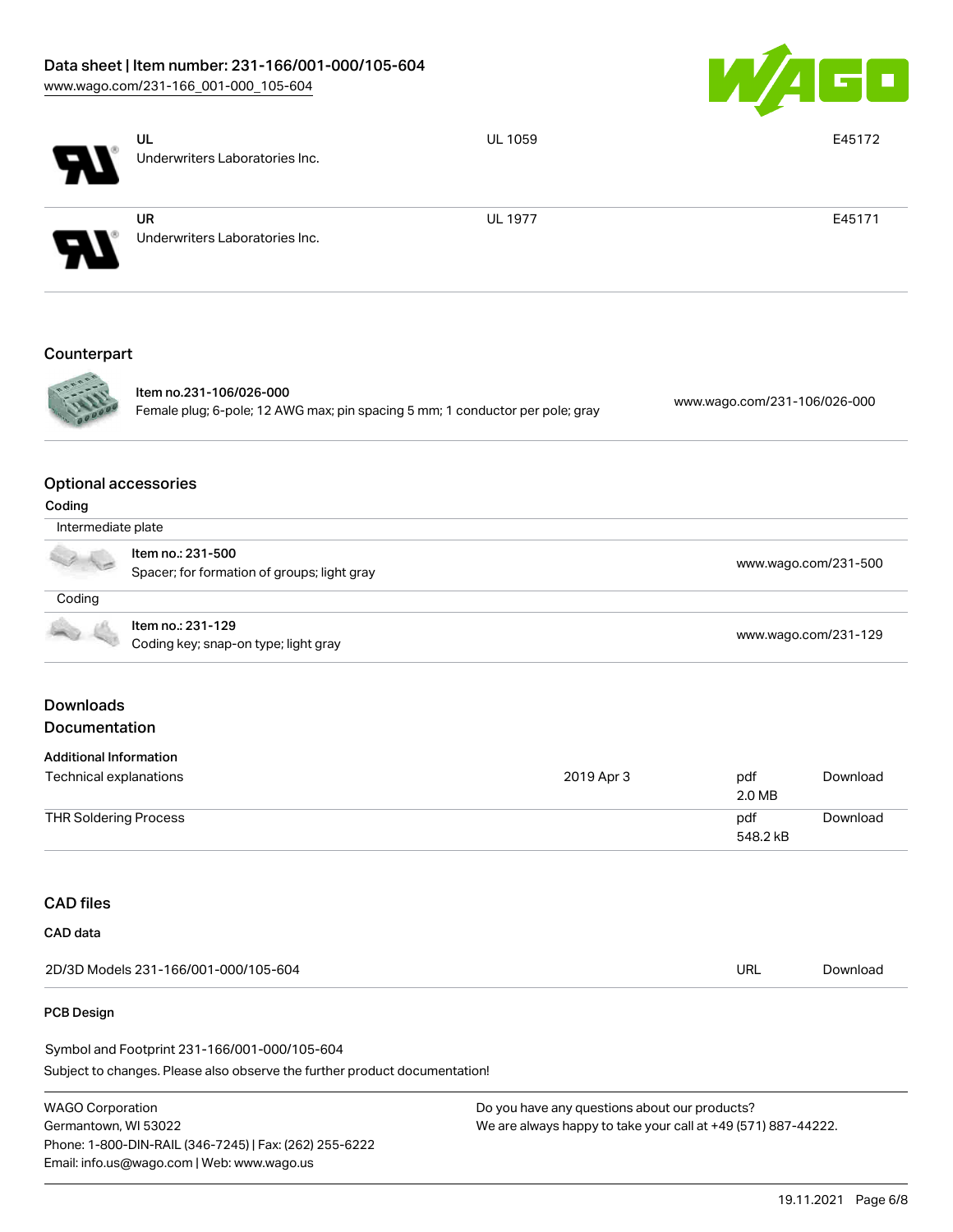# Data sheet | Item number: 231-166/001-000/105-604

[www.wago.com/231-166\\_001-000\\_105-604](http://www.wago.com/231-166_001-000_105-604)



|                                                         | UL<br>Underwriters Laboratories Inc.                                                                     | <b>UL 1059</b> |                              | E45172               |
|---------------------------------------------------------|----------------------------------------------------------------------------------------------------------|----------------|------------------------------|----------------------|
|                                                         | <b>UR</b><br>Underwriters Laboratories Inc.                                                              | <b>UL 1977</b> |                              | E45171               |
| Counterpart                                             |                                                                                                          |                |                              |                      |
|                                                         | Item no.231-106/026-000<br>Female plug; 6-pole; 12 AWG max; pin spacing 5 mm; 1 conductor per pole; gray |                | www.wago.com/231-106/026-000 |                      |
| <b>Optional accessories</b><br>Coding                   |                                                                                                          |                |                              |                      |
| Intermediate plate                                      |                                                                                                          |                |                              |                      |
|                                                         | Item no.: 231-500<br>Spacer; for formation of groups; light gray                                         |                |                              | www.wago.com/231-500 |
| Coding                                                  |                                                                                                          |                |                              |                      |
|                                                         | Item no.: 231-129<br>Coding key; snap-on type; light gray                                                |                |                              | www.wago.com/231-129 |
| <b>Downloads</b><br>Documentation                       |                                                                                                          |                |                              |                      |
|                                                         |                                                                                                          |                |                              |                      |
| <b>Additional Information</b><br>Technical explanations |                                                                                                          | 2019 Apr 3     | pdf<br>2.0 MB                | Download             |
| <b>THR Soldering Process</b>                            |                                                                                                          |                | pdf<br>548.2 kB              | Download             |
| <b>CAD files</b>                                        |                                                                                                          |                |                              |                      |
| CAD data                                                |                                                                                                          |                |                              |                      |
|                                                         | 2D/3D Models 231-166/001-000/105-604                                                                     |                | <b>URL</b>                   | Download             |
| PCB Design                                              |                                                                                                          |                |                              |                      |

Subject to changes. Please also observe the further product documentation! Symbol and Footprint 231-166/001-000/105-604

WAGO Corporation Germantown, WI 53022 Phone: 1-800-DIN-RAIL (346-7245) | Fax: (262) 255-6222 Email: info.us@wago.com | Web: www.wago.us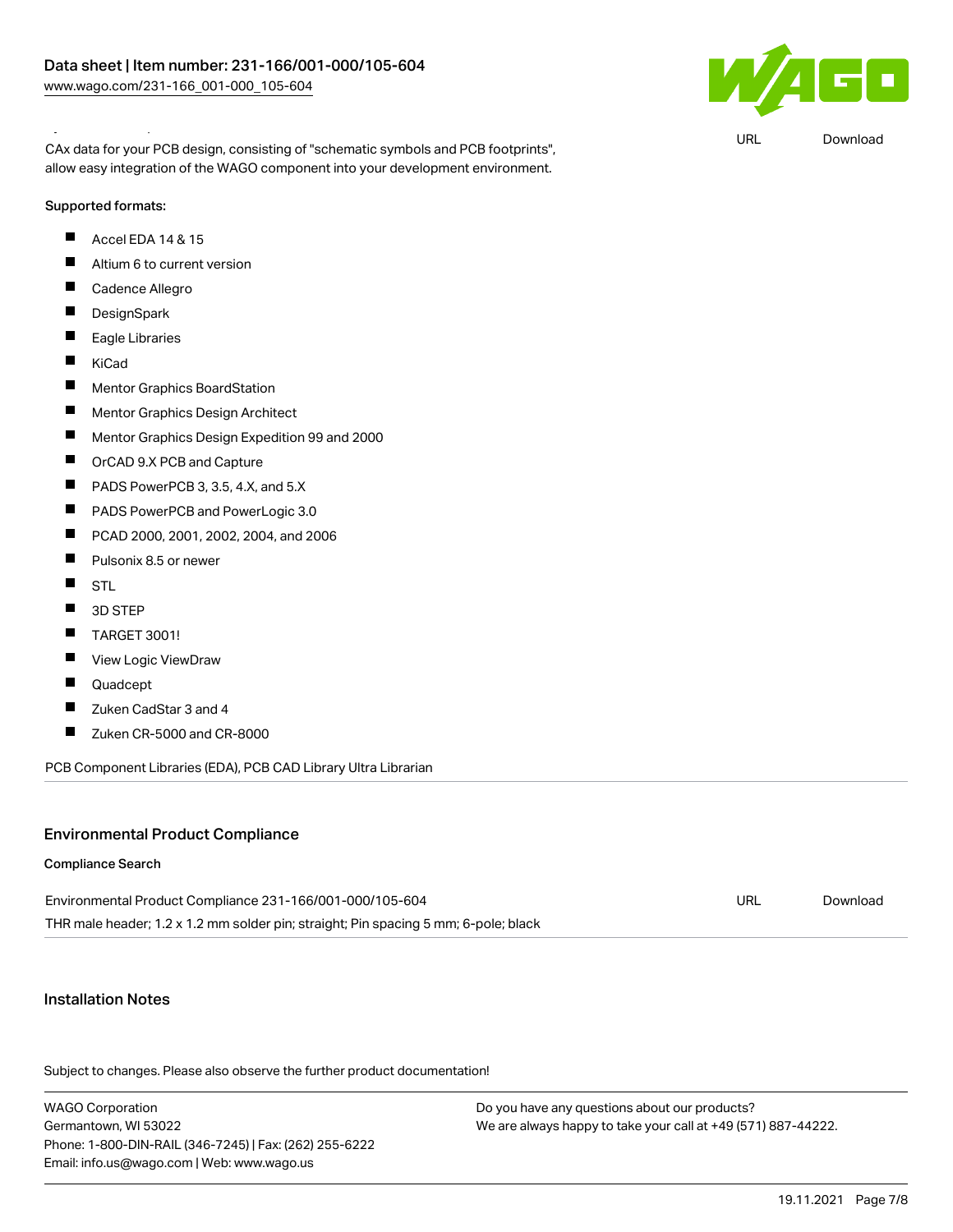Symbol and Footprint 231-166/001-000/105-604



URL [Download](https://www.wago.com/global/d/UltraLibrarian_URLS_231-166_001-000_105-604)

CAx data for your PCB design, consisting of "schematic symbols and PCB footprints", allow easy integration of the WAGO component into your development environment.

## Supported formats:

- $\blacksquare$ Accel EDA 14 & 15
- $\blacksquare$ Altium 6 to current version
- $\blacksquare$ Cadence Allegro
- $\blacksquare$ **DesignSpark**
- $\blacksquare$ Eagle Libraries
- $\blacksquare$ KiCad
- $\blacksquare$ Mentor Graphics BoardStation
- $\blacksquare$ Mentor Graphics Design Architect
- $\blacksquare$ Mentor Graphics Design Expedition 99 and 2000
- $\blacksquare$ OrCAD 9.X PCB and Capture
- $\blacksquare$ PADS PowerPCB 3, 3.5, 4.X, and 5.X
- $\blacksquare$ PADS PowerPCB and PowerLogic 3.0
- $\blacksquare$ PCAD 2000, 2001, 2002, 2004, and 2006
- $\blacksquare$ Pulsonix 8.5 or newer
- $\blacksquare$ STL
- $\blacksquare$ 3D STEP
- $\blacksquare$ TARGET 3001!
- $\blacksquare$ View Logic ViewDraw
- $\blacksquare$ Quadcept
- $\blacksquare$ Zuken CadStar 3 and 4
- $\blacksquare$ Zuken CR-5000 and CR-8000

PCB Component Libraries (EDA), PCB CAD Library Ultra Librarian

## Environmental Product Compliance

#### Compliance Search

| Environmental Product Compliance 231-166/001-000/105-604                            | URL | Download |
|-------------------------------------------------------------------------------------|-----|----------|
| THR male header; 1.2 x 1.2 mm solder pin; straight; Pin spacing 5 mm; 6-pole; black |     |          |

#### Installation Notes

Subject to changes. Please also observe the further product documentation!

| <b>WAGO Corporation</b>                                |
|--------------------------------------------------------|
| Germantown. WI 53022                                   |
| Phone: 1-800-DIN-RAIL (346-7245)   Fax: (262) 255-6222 |
| Email: info.us@wago.com   Web: www.wago.us             |